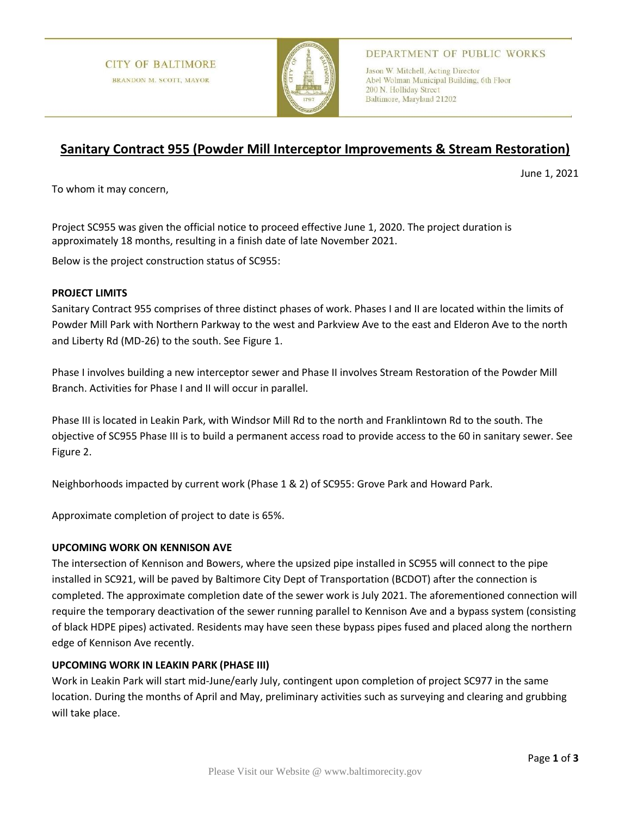

## DEPARTMENT OF PUBLIC WORKS

Jason W. Mitchell, Acting Director Abel Wolman Municipal Building, 6th Floor 200 N. Holliday Street Baltimore, Maryland 21202

# **Sanitary Contract 955 (Powder Mill Interceptor Improvements & Stream Restoration)**

June 1, 2021

To whom it may concern,

Project SC955 was given the official notice to proceed effective June 1, 2020. The project duration is approximately 18 months, resulting in a finish date of late November 2021.

Below is the project construction status of SC955:

## **PROJECT LIMITS**

Sanitary Contract 955 comprises of three distinct phases of work. Phases I and II are located within the limits of Powder Mill Park with Northern Parkway to the west and Parkview Ave to the east and Elderon Ave to the north and Liberty Rd (MD-26) to the south. See Figure 1.

Phase I involves building a new interceptor sewer and Phase II involves Stream Restoration of the Powder Mill Branch. Activities for Phase I and II will occur in parallel.

Phase III is located in Leakin Park, with Windsor Mill Rd to the north and Franklintown Rd to the south. The objective of SC955 Phase III is to build a permanent access road to provide access to the 60 in sanitary sewer. See Figure 2.

Neighborhoods impacted by current work (Phase 1 & 2) of SC955: Grove Park and Howard Park.

Approximate completion of project to date is 65%.

## **UPCOMING WORK ON KENNISON AVE**

The intersection of Kennison and Bowers, where the upsized pipe installed in SC955 will connect to the pipe installed in SC921, will be paved by Baltimore City Dept of Transportation (BCDOT) after the connection is completed. The approximate completion date of the sewer work is July 2021. The aforementioned connection will require the temporary deactivation of the sewer running parallel to Kennison Ave and a bypass system (consisting of black HDPE pipes) activated. Residents may have seen these bypass pipes fused and placed along the northern edge of Kennison Ave recently.

## **UPCOMING WORK IN LEAKIN PARK (PHASE III)**

Work in Leakin Park will start mid-June/early July, contingent upon completion of project SC977 in the same location. During the months of April and May, preliminary activities such as surveying and clearing and grubbing will take place.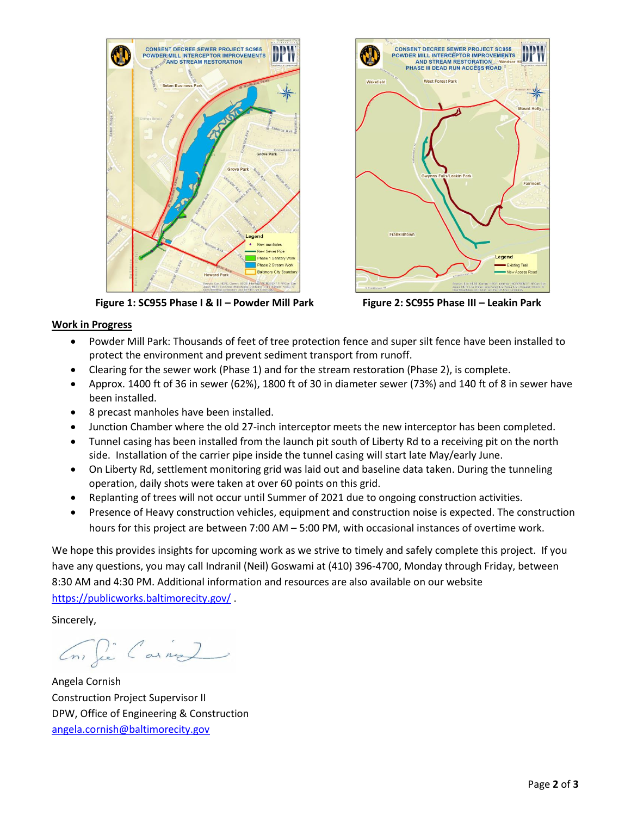

 **Figure 1: SC955 Phase I & II – Powder Mill Park Figure 2: SC955 Phase III – Leakin Park**



#### **Work in Progress**

- Powder Mill Park: Thousands of feet of tree protection fence and super silt fence have been installed to protect the environment and prevent sediment transport from runoff.
- Clearing for the sewer work (Phase 1) and for the stream restoration (Phase 2), is complete.
- Approx. 1400 ft of 36 in sewer (62%), 1800 ft of 30 in diameter sewer (73%) and 140 ft of 8 in sewer have been installed.
- 8 precast manholes have been installed.
- Junction Chamber where the old 27-inch interceptor meets the new interceptor has been completed.
- Tunnel casing has been installed from the launch pit south of Liberty Rd to a receiving pit on the north side. Installation of the carrier pipe inside the tunnel casing will start late May/early June.
- On Liberty Rd, settlement monitoring grid was laid out and baseline data taken. During the tunneling operation, daily shots were taken at over 60 points on this grid.
- Replanting of trees will not occur until Summer of 2021 due to ongoing construction activities.
- Presence of Heavy construction vehicles, equipment and construction noise is expected. The construction hours for this project are between 7:00 AM – 5:00 PM, with occasional instances of overtime work.

We hope this provides insights for upcoming work as we strive to timely and safely complete this project. If you have any questions, you may call Indranil (Neil) Goswami at (410) 396-4700, Monday through Friday, between 8:30 AM and 4:30 PM. Additional information and resources are also available on our website <https://publicworks.baltimorecity.gov/> .

Sincerely,

Con fie Carne

Angela Cornish Construction Project Supervisor II DPW, Office of Engineering & Construction [angela.cornish@baltimorecity.gov](mailto:angela.cornish@baltimorecity.gov)